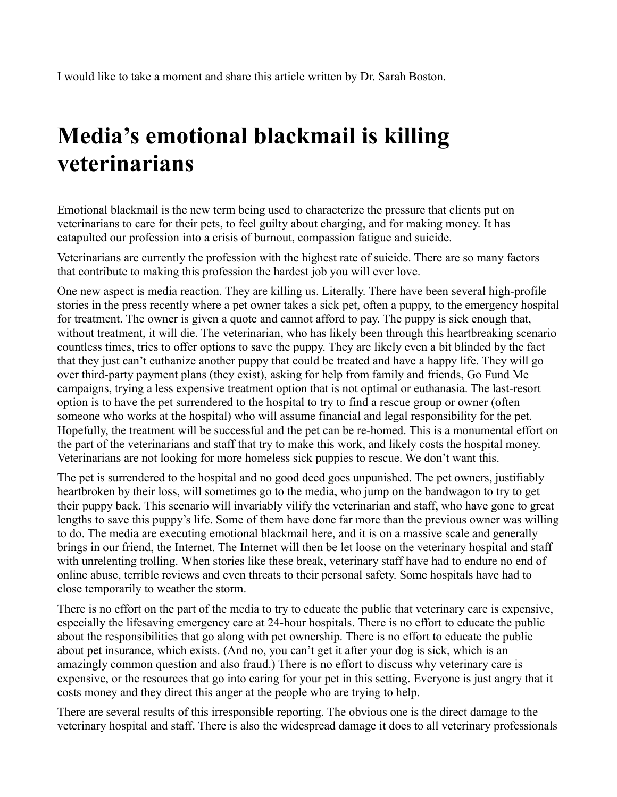I would like to take a moment and share this article written by Dr. Sarah Boston.

## **Media's emotional blackmail is killing veterinarians**

Emotional blackmail is the new term being used to characterize the pressure that clients put on veterinarians to care for their pets, to feel guilty about charging, and for making money. It has catapulted our profession into a crisis of burnout, compassion fatigue and suicide.

Veterinarians are currently the profession with the highest rate of suicide. There are so many factors that contribute to making this profession the hardest job you will ever love.

One new aspect is media reaction. They are killing us. Literally. There have been several high-profile stories in the press recently where a pet owner takes a sick pet, often a puppy, to the emergency hospital for treatment. The owner is given a quote and cannot afford to pay. The puppy is sick enough that, without treatment, it will die. The veterinarian, who has likely been through this heartbreaking scenario countless times, tries to offer options to save the puppy. They are likely even a bit blinded by the fact that they just can't euthanize another puppy that could be treated and have a happy life. They will go over third-party payment plans (they exist), asking for help from family and friends, Go Fund Me campaigns, trying a less expensive treatment option that is not optimal or euthanasia. The last-resort option is to have the pet surrendered to the hospital to try to find a rescue group or owner (often someone who works at the hospital) who will assume financial and legal responsibility for the pet. Hopefully, the treatment will be successful and the pet can be re-homed. This is a monumental effort on the part of the veterinarians and staff that try to make this work, and likely costs the hospital money. Veterinarians are not looking for more homeless sick puppies to rescue. We don't want this.

The pet is surrendered to the hospital and no good deed goes unpunished. The pet owners, justifiably heartbroken by their loss, will sometimes go to the media, who jump on the bandwagon to try to get their puppy back. This scenario will invariably vilify the veterinarian and staff, who have gone to great lengths to save this puppy's life. Some of them have done far more than the previous owner was willing to do. The media are executing emotional blackmail here, and it is on a massive scale and generally brings in our friend, the Internet. The Internet will then be let loose on the veterinary hospital and staff with unrelenting trolling. When stories like these break, veterinary staff have had to endure no end of online abuse, terrible reviews and even threats to their personal safety. Some hospitals have had to close temporarily to weather the storm.

There is no effort on the part of the media to try to educate the public that veterinary care is expensive, especially the lifesaving emergency care at 24-hour hospitals. There is no effort to educate the public about the responsibilities that go along with pet ownership. There is no effort to educate the public about pet insurance, which exists. (And no, you can't get it after your dog is sick, which is an amazingly common question and also fraud.) There is no effort to discuss why veterinary care is expensive, or the resources that go into caring for your pet in this setting. Everyone is just angry that it costs money and they direct this anger at the people who are trying to help.

There are several results of this irresponsible reporting. The obvious one is the direct damage to the veterinary hospital and staff. There is also the widespread damage it does to all veterinary professionals